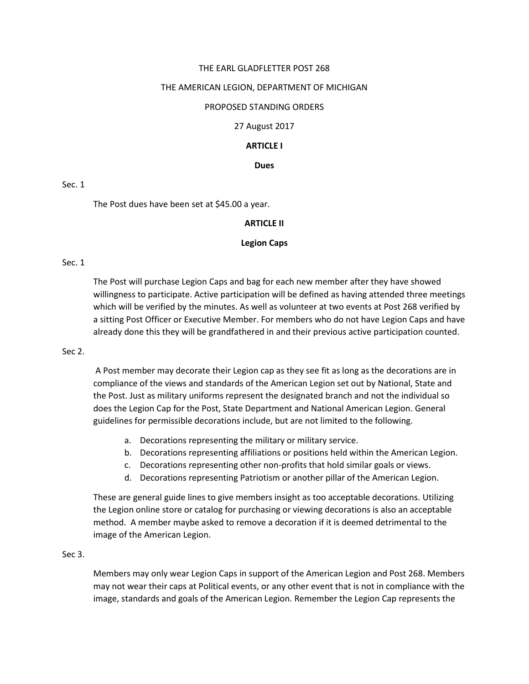## THE EARL GLADFLETTER POST 268

#### THE AMERICAN LEGION, DEPARTMENT OF MICHIGAN

#### PROPOSED STANDING ORDERS

#### 27 August 2017

## **ARTICLE I**

#### **Dues**

#### Sec. 1

The Post dues have been set at \$45.00 a year.

#### **ARTICLE II**

#### **Legion Caps**

#### Sec. 1

The Post will purchase Legion Caps and bag for each new member after they have showed willingness to participate. Active participation will be defined as having attended three meetings which will be verified by the minutes. As well as volunteer at two events at Post 268 verified by a sitting Post Officer or Executive Member. For members who do not have Legion Caps and have already done this they will be grandfathered in and their previous active participation counted.

#### Sec 2.

A Post member may decorate their Legion cap as they see fit as long as the decorations are in compliance of the views and standards of the American Legion set out by National, State and the Post. Just as military uniforms represent the designated branch and not the individual so does the Legion Cap for the Post, State Department and National American Legion. General guidelines for permissible decorations include, but are not limited to the following.

- a. Decorations representing the military or military service.
- b. Decorations representing affiliations or positions held within the American Legion.
- c. Decorations representing other non-profits that hold similar goals or views.
- d. Decorations representing Patriotism or another pillar of the American Legion.

These are general guide lines to give members insight as too acceptable decorations. Utilizing the Legion online store or catalog for purchasing or viewing decorations is also an acceptable method. A member maybe asked to remove a decoration if it is deemed detrimental to the image of the American Legion.

#### Sec 3.

Members may only wear Legion Caps in support of the American Legion and Post 268. Members may not wear their caps at Political events, or any other event that is not in compliance with the image, standards and goals of the American Legion. Remember the Legion Cap represents the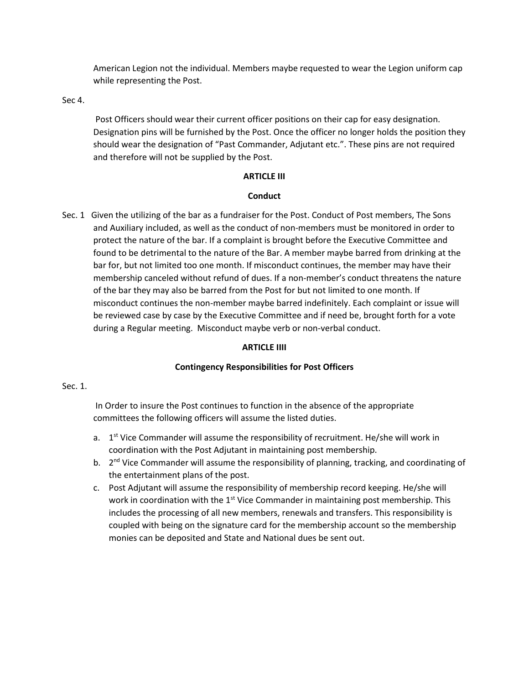American Legion not the individual. Members maybe requested to wear the Legion uniform cap while representing the Post.

Sec 4.

Post Officers should wear their current officer positions on their cap for easy designation. Designation pins will be furnished by the Post. Once the officer no longer holds the position they should wear the designation of "Past Commander, Adjutant etc.". These pins are not required and therefore will not be supplied by the Post.

## **ARTICLE III**

# **Conduct**

Sec. 1 Given the utilizing of the bar as a fundraiser for the Post. Conduct of Post members, The Sons and Auxiliary included, as well as the conduct of non-members must be monitored in order to protect the nature of the bar. If a complaint is brought before the Executive Committee and found to be detrimental to the nature of the Bar. A member maybe barred from drinking at the bar for, but not limited too one month. If misconduct continues, the member may have their membership canceled without refund of dues. If a non-member's conduct threatens the nature of the bar they may also be barred from the Post for but not limited to one month. If misconduct continues the non-member maybe barred indefinitely. Each complaint or issue will be reviewed case by case by the Executive Committee and if need be, brought forth for a vote during a Regular meeting. Misconduct maybe verb or non-verbal conduct.

# **ARTICLE IIII**

# **Contingency Responsibilities for Post Officers**

# Sec. 1.

In Order to insure the Post continues to function in the absence of the appropriate committees the following officers will assume the listed duties.

- a. 1<sup>st</sup> Vice Commander will assume the responsibility of recruitment. He/she will work in coordination with the Post Adjutant in maintaining post membership.
- b. 2<sup>nd</sup> Vice Commander will assume the responsibility of planning, tracking, and coordinating of the entertainment plans of the post.
- c. Post Adjutant will assume the responsibility of membership record keeping. He/she will work in coordination with the  $1<sup>st</sup>$  Vice Commander in maintaining post membership. This includes the processing of all new members, renewals and transfers. This responsibility is coupled with being on the signature card for the membership account so the membership monies can be deposited and State and National dues be sent out.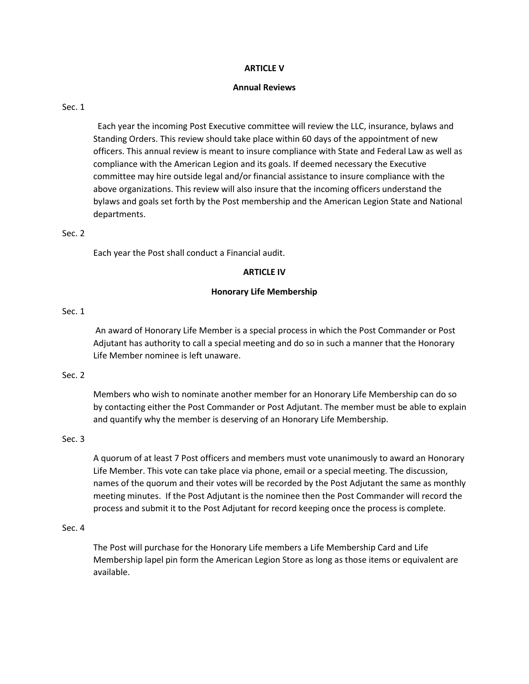## **ARTICLE V**

## **Annual Reviews**

## Sec. 1

 Each year the incoming Post Executive committee will review the LLC, insurance, bylaws and Standing Orders. This review should take place within 60 days of the appointment of new officers. This annual review is meant to insure compliance with State and Federal Law as well as compliance with the American Legion and its goals. If deemed necessary the Executive committee may hire outside legal and/or financial assistance to insure compliance with the above organizations. This review will also insure that the incoming officers understand the bylaws and goals set forth by the Post membership and the American Legion State and National departments.

## Sec. 2

Each year the Post shall conduct a Financial audit.

## **ARTICLE IV**

## **Honorary Life Membership**

## Sec. 1

An award of Honorary Life Member is a special process in which the Post Commander or Post Adjutant has authority to call a special meeting and do so in such a manner that the Honorary Life Member nominee is left unaware.

# Sec. 2

Members who wish to nominate another member for an Honorary Life Membership can do so by contacting either the Post Commander or Post Adjutant. The member must be able to explain and quantify why the member is deserving of an Honorary Life Membership.

## Sec. 3

A quorum of at least 7 Post officers and members must vote unanimously to award an Honorary Life Member. This vote can take place via phone, email or a special meeting. The discussion, names of the quorum and their votes will be recorded by the Post Adjutant the same as monthly meeting minutes. If the Post Adjutant is the nominee then the Post Commander will record the process and submit it to the Post Adjutant for record keeping once the process is complete.

## Sec. 4

The Post will purchase for the Honorary Life members a Life Membership Card and Life Membership lapel pin form the American Legion Store as long as those items or equivalent are available.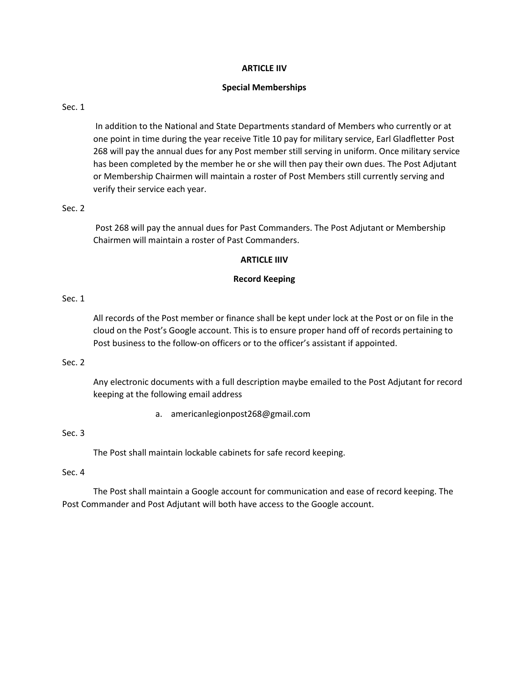## **ARTICLE IIV**

## **Special Memberships**

## Sec. 1

In addition to the National and State Departments standard of Members who currently or at one point in time during the year receive Title 10 pay for military service, Earl Gladfletter Post 268 will pay the annual dues for any Post member still serving in uniform. Once military service has been completed by the member he or she will then pay their own dues. The Post Adjutant or Membership Chairmen will maintain a roster of Post Members still currently serving and verify their service each year.

## Sec. 2

Post 268 will pay the annual dues for Past Commanders. The Post Adjutant or Membership Chairmen will maintain a roster of Past Commanders.

## **ARTICLE IIIV**

## **Record Keeping**

# Sec. 1

All records of the Post member or finance shall be kept under lock at the Post or on file in the cloud on the Post's Google account. This is to ensure proper hand off of records pertaining to Post business to the follow-on officers or to the officer's assistant if appointed.

## Sec. 2

Any electronic documents with a full description maybe emailed to the Post Adjutant for record keeping at the following email address

a. americanlegionpost268@gmail.com

# Sec. 3

The Post shall maintain lockable cabinets for safe record keeping.

## Sec. 4

The Post shall maintain a Google account for communication and ease of record keeping. The Post Commander and Post Adjutant will both have access to the Google account.